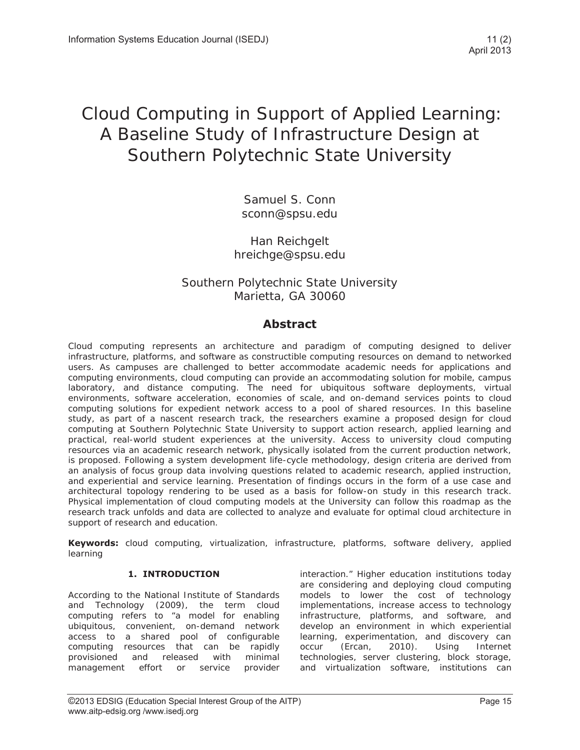# Cloud Computing in Support of Applied Learning: A Baseline Study of Infrastructure Design at Southern Polytechnic State University

Samuel S. Conn sconn@spsu.edu

# Han Reichgelt hreichge@spsu.edu

# Southern Polytechnic State University Marietta, GA 30060

# **Abstract**

Cloud computing represents an architecture and paradigm of computing designed to deliver infrastructure, platforms, and software as constructible computing resources on demand to networked users. As campuses are challenged to better accommodate academic needs for applications and computing environments, cloud computing can provide an accommodating solution for mobile, campus laboratory, and distance computing. The need for ubiquitous software deployments, virtual environments, software acceleration, economies of scale, and on-demand services points to cloud computing solutions for expedient network access to a pool of shared resources. In this baseline study, as part of a nascent research track, the researchers examine a proposed design for cloud computing at Southern Polytechnic State University to support action research, applied learning and practical, real-world student experiences at the university. Access to university cloud computing resources via an academic research network, physically isolated from the current production network, is proposed. Following a system development life-cycle methodology, design criteria are derived from an analysis of focus group data involving questions related to academic research, applied instruction, and experiential and service learning. Presentation of findings occurs in the form of a use case and architectural topology rendering to be used as a basis for follow-on study in this research track. Physical implementation of cloud computing models at the University can follow this roadmap as the research track unfolds and data are collected to analyze and evaluate for optimal cloud architecture in support of research and education.

**Keywords:** cloud computing, virtualization, infrastructure, platforms, software delivery, applied learning

# **1. INTRODUCTION**

According to the National Institute of Standards and Technology (2009), the term cloud computing refers to "a model for enabling ubiquitous, convenient, on-demand network access to a shared pool of configurable computing resources that can be rapidly provisioned and released with minimal management effort or service provider interaction." Higher education institutions today are considering and deploying cloud computing models to lower the cost of technology implementations, increase access to technology infrastructure, platforms, and software, and develop an environment in which experiential learning, experimentation, and discovery can occur (Ercan, 2010). Using Internet technologies, server clustering, block storage, and virtualization software, institutions can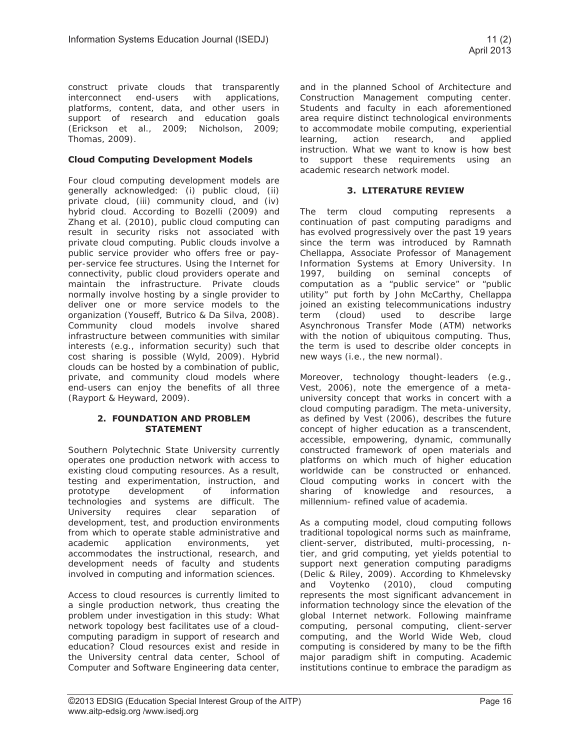construct private clouds that transparently interconnect end-users with applications, platforms, content, data, and other users in support of research and education goals (Erickson et al., 2009; Nicholson, 2009; Thomas, 2009).

## **Cloud Computing Development Models**

Four cloud computing development models are generally acknowledged: (i) public cloud, (ii) private cloud, (iii) community cloud, and (iv) hybrid cloud. According to Bozelli (2009) and Zhang et al. (2010), public cloud computing can result in security risks not associated with private cloud computing. Public clouds involve a public service provider who offers free or payper-service fee structures. Using the Internet for connectivity, public cloud providers operate and maintain the infrastructure. Private clouds normally involve hosting by a single provider to deliver one or more service models to the organization (Youseff, Butrico & Da Silva, 2008). Community cloud models involve shared infrastructure between communities with similar interests (e.g., information security) such that cost sharing is possible (Wyld, 2009). Hybrid clouds can be hosted by a combination of public, private, and community cloud models where end-users can enjoy the benefits of all three (Rayport & Heyward, 2009).

#### **2. FOUNDATION AND PROBLEM STATEMENT**

Southern Polytechnic State University currently operates one production network with access to existing cloud computing resources. As a result, testing and experimentation, instruction, and prototype development of information technologies and systems are difficult. The University requires clear separation of development, test, and production environments from which to operate stable administrative and academic application environments, yet accommodates the instructional, research, and development needs of faculty and students involved in computing and information sciences.

Access to cloud resources is currently limited to a single production network, thus creating the problem under investigation in this study: What network topology best facilitates use of a cloudcomputing paradigm in support of research and education? Cloud resources exist and reside in the University central data center, School of Computer and Software Engineering data center,

and in the planned School of Architecture and Construction Management computing center. Students and faculty in each aforementioned area require distinct technological environments to accommodate mobile computing, experiential learning, action research, and applied instruction. What we want to know is how best to support these requirements using an academic research network model.

### **3. LITERATURE REVIEW**

The term cloud computing represents a continuation of past computing paradigms and has evolved progressively over the past 19 years since the term was introduced by Ramnath Chellappa, Associate Professor of Management Information Systems at Emory University. In 1997, building on seminal concepts of computation as a "public service" or "public utility" put forth by John McCarthy, Chellappa joined an existing telecommunications industry term (cloud) used to describe large Asynchronous Transfer Mode (ATM) networks with the notion of ubiquitous computing. Thus, the term is used to describe older concepts in new ways (i.e., the new normal).

Moreover, technology thought-leaders (e.g., Vest, 2006), note the emergence of a metauniversity concept that works in concert with a cloud computing paradigm. The meta-university, as defined by Vest (2006), describes the future concept of higher education as a transcendent, accessible, empowering, dynamic, communally constructed framework of open materials and platforms on which much of higher education worldwide can be constructed or enhanced. Cloud computing works in concert with the sharing of knowledge and resources, a millennium- refined value of academia.

As a computing model, cloud computing follows traditional topological norms such as mainframe, client-server, distributed, multi-processing, ntier, and grid computing, yet yields potential to support next generation computing paradigms (Delic & Riley, 2009). According to Khmelevsky and Voytenko (2010), cloud computing represents the most significant advancement in information technology since the elevation of the global Internet network. Following mainframe computing, personal computing, client-server computing, and the World Wide Web, cloud computing is considered by many to be the fifth major paradigm shift in computing. Academic institutions continue to embrace the paradigm as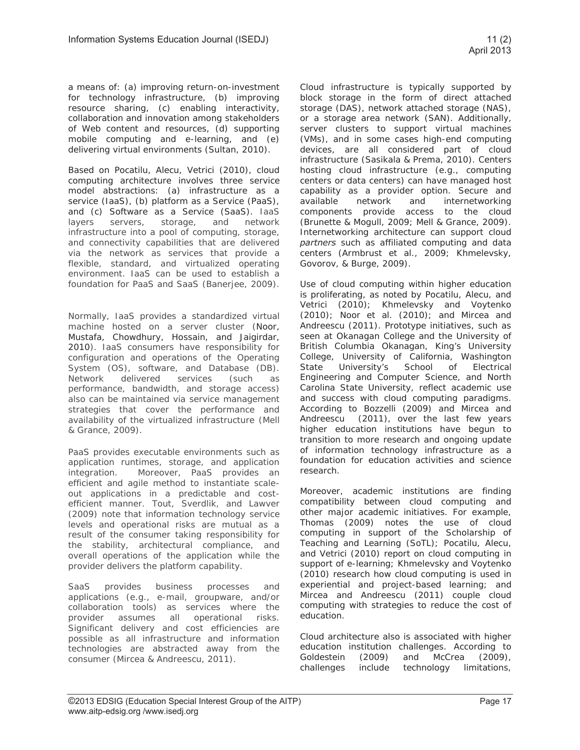a means of: (a) improving return-on-investment for technology infrastructure, (b) improving resource sharing, (c) enabling interactivity, collaboration and innovation among stakeholders of Web content and resources, (d) supporting mobile computing and e-learning, and (e) delivering virtual environments (Sultan, 2010).

Based on Pocatilu, Alecu, Vetrici (2010), cloud computing architecture involves three service model abstractions: (a) infrastructure as a service (IaaS), (b) platform as a Service (PaaS), and (c) Software as a Service (SaaS). IaaS layers servers, storage, and network infrastructure into a pool of computing, storage, and connectivity capabilities that are delivered via the network as services that provide a flexible, standard, and virtualized operating environment. IaaS can be used to establish a foundation for PaaS and SaaS (Banerjee, 2009).

Normally, IaaS provides a standardized virtual machine hosted on a server cluster (Noor, Mustafa, Chowdhury, Hossain, and Jaigirdar, 2010). IaaS consumers have responsibility for configuration and operations of the Operating System (OS), software, and Database (DB). Network delivered services (such as performance, bandwidth, and storage access) also can be maintained via service management strategies that cover the performance and availability of the virtualized infrastructure (Mell & Grance, 2009).

PaaS provides executable environments such as application runtimes, storage, and application integration. Moreover, PaaS provides an efficient and agile method to instantiate scaleout applications in a predictable and costefficient manner. Tout, Sverdlik, and Lawver (2009) note that information technology service levels and operational risks are mutual as a result of the consumer taking responsibility for the stability, architectural compliance, and overall operations of the application while the provider delivers the platform capability.

SaaS provides business processes and applications (e.g., e-mail, groupware, and/or collaboration tools) as services where the provider assumes all operational risks. Significant delivery and cost efficiencies are possible as all infrastructure and information technologies are abstracted away from the consumer (Mircea & Andreescu, 2011).

Cloud infrastructure is typically supported by block storage in the form of direct attached storage (DAS), network attached storage (NAS), or a storage area network (SAN). Additionally, server clusters to support virtual machines (VMs), and in some cases high-end computing devices, are all considered part of cloud infrastructure (Sasikala & Prema, 2010). Centers hosting cloud infrastructure (e.g., computing centers or data centers) can have managed host capability as a provider option. Secure and available network and internetworking components provide access to the cloud (Brunette & Mogull, 2009; Mell & Grance, 2009). Internetworking architecture can support cloud *partners* such as affiliated computing and data centers (Armbrust et al., 2009; Khmelevsky, Govorov, & Burge, 2009).

Use of cloud computing within higher education is proliferating, as noted by Pocatilu, Alecu, and Vetrici (2010); Khmelevsky and Voytenko (2010); Noor et al. (2010); and Mircea and Andreescu (2011). Prototype initiatives, such as seen at Okanagan College and the University of British Columbia Okanagan, King's University College, University of California, Washington State University's School of Electrical Engineering and Computer Science, and North Carolina State University, reflect academic use and success with cloud computing paradigms. According to Bozzelli (2009) and Mircea and Andreescu (2011), over the last few years higher education institutions have begun to transition to more research and ongoing update of information technology infrastructure as a foundation for education activities and science research.

Moreover, academic institutions are finding compatibility between cloud computing and other major academic initiatives. For example, Thomas (2009) notes the use of cloud computing in support of the Scholarship of Teaching and Learning (SoTL); Pocatilu, Alecu, and Vetrici (2010) report on cloud computing in support of e-learning; Khmelevsky and Voytenko (2010) research how cloud computing is used in experiential and project-based learning; and Mircea and Andreescu (2011) couple cloud computing with strategies to reduce the cost of education.

Cloud architecture also is associated with higher education institution challenges. According to Goldestein (2009) and McCrea (2009), challenges include technology limitations,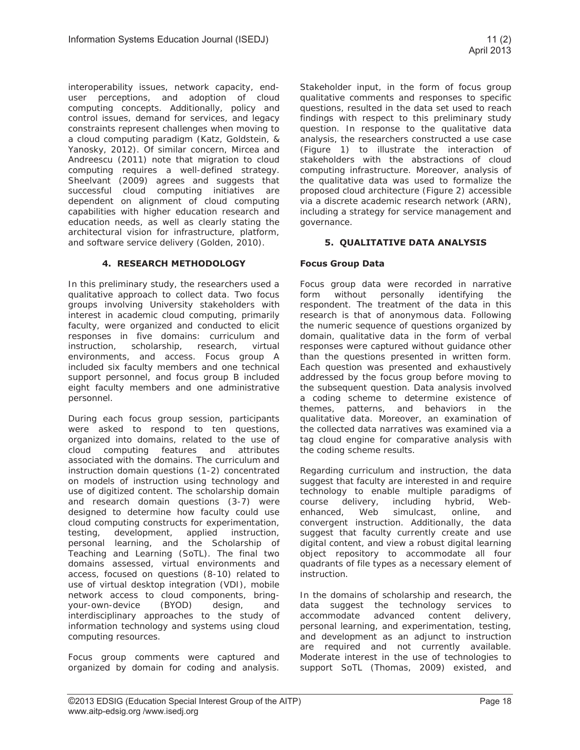interoperability issues, network capacity, enduser perceptions, and adoption of cloud computing concepts. Additionally, policy and control issues, demand for services, and legacy constraints represent challenges when moving to a cloud computing paradigm (Katz, Goldstein, & Yanosky, 2012). Of similar concern, Mircea and Andreescu (2011) note that migration to cloud computing requires a well-defined strategy. Sheelvant (2009) agrees and suggests that successful cloud computing initiatives are dependent on alignment of cloud computing capabilities with higher education research and education needs, as well as clearly stating the architectural vision for infrastructure, platform, and software service delivery (Golden, 2010).

# **4. RESEARCH METHODOLOGY**

In this preliminary study, the researchers used a qualitative approach to collect data. Two focus groups involving University stakeholders with interest in academic cloud computing, primarily faculty, were organized and conducted to elicit responses in five domains: curriculum and instruction, scholarship, research, virtual environments, and access. Focus group A included six faculty members and one technical support personnel, and focus group B included eight faculty members and one administrative personnel.

During each focus group session, participants were asked to respond to ten questions, organized into domains, related to the use of cloud computing features and attributes associated with the domains. The curriculum and instruction domain questions (1-2) concentrated on models of instruction using technology and use of digitized content. The scholarship domain and research domain questions (3-7) were designed to determine how faculty could use cloud computing constructs for experimentation, testing, development, applied instruction, personal learning, and the Scholarship of Teaching and Learning (SoTL). The final two domains assessed, virtual environments and access, focused on questions (8-10) related to use of virtual desktop integration (VDI), mobile network access to cloud components, bringyour-own-device (BYOD) design, and interdisciplinary approaches to the study of information technology and systems using cloud computing resources.

Focus group comments were captured and organized by domain for coding and analysis.

Stakeholder input, in the form of focus group qualitative comments and responses to specific questions, resulted in the data set used to reach findings with respect to this preliminary study question. In response to the qualitative data analysis, the researchers constructed a use case (Figure 1) to illustrate the interaction of stakeholders with the abstractions of cloud computing infrastructure. Moreover, analysis of the qualitative data was used to formalize the proposed cloud architecture (Figure 2) accessible via a discrete academic research network (ARN), including a strategy for service management and governance.

# **5. QUALITATIVE DATA ANALYSIS**

# **Focus Group Data**

Focus group data were recorded in narrative form without personally identifying the respondent. The treatment of the data in this research is that of anonymous data. Following the numeric sequence of questions organized by domain, qualitative data in the form of verbal responses were captured without guidance other than the questions presented in written form. Each question was presented and exhaustively addressed by the focus group before moving to the subsequent question. Data analysis involved a coding scheme to determine existence of themes, patterns, and behaviors in the qualitative data. Moreover, an examination of the collected data narratives was examined via a tag cloud engine for comparative analysis with the coding scheme results.

Regarding curriculum and instruction, the data suggest that faculty are interested in and require technology to enable multiple paradigms of course delivery, including hybrid, Webenhanced, Web simulcast, online, and convergent instruction. Additionally, the data suggest that faculty currently create and use digital content, and view a robust digital learning object repository to accommodate all four quadrants of file types as a necessary element of instruction.

In the domains of scholarship and research, the data suggest the technology services to accommodate advanced content delivery, personal learning, and experimentation, testing, and development as an adjunct to instruction are required and not currently available. Moderate interest in the use of technologies to support SoTL (Thomas, 2009) existed, and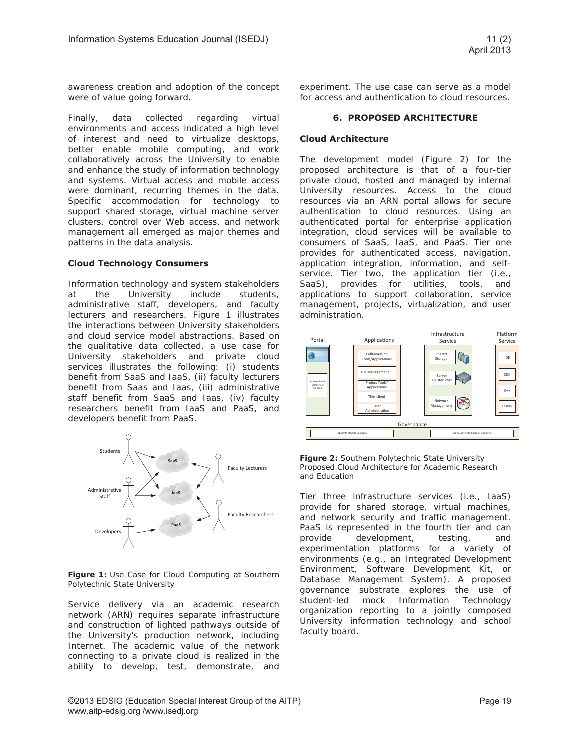awareness creation and adoption of the concept were of value going forward.

Finally, data collected regarding virtual environments and access indicated a high level of interest and need to virtualize desktops, better enable mobile computing, and work collaboratively across the University to enable and enhance the study of information technology and systems. Virtual access and mobile access were dominant, recurring themes in the data. Specific accommodation for technology to support shared storage, virtual machine server clusters, control over Web access, and network management all emerged as major themes and patterns in the data analysis.

## **Cloud Technology Consumers**

Information technology and system stakeholders at the University include students, administrative staff, developers, and faculty lecturers and researchers. Figure 1 illustrates the interactions between University stakeholders and cloud service model abstractions. Based on the qualitative data collected, a use case for University stakeholders and private cloud services illustrates the following: (i) students benefit from SaaS and IaaS, (ii) faculty lecturers benefit from Saas and Iaas, (iii) administrative staff benefit from SaaS and Iaas, (iv) faculty researchers benefit from IaaS and PaaS, and developers benefit from PaaS.



**Figure 1:** Use Case for Cloud Computing at Southern Polytechnic State University

Service delivery via an academic research network (ARN) requires separate infrastructure and construction of lighted pathways outside of the University's production network, including Internet. The academic value of the network connecting to a private cloud is realized in the ability to develop, test, demonstrate, and

experiment. The use case can serve as a model for access and authentication to cloud resources.

### **6. PROPOSED ARCHITECTURE**

## **Cloud Architecture**

The development model (Figure 2) for the proposed architecture is that of a four-tier private cloud, hosted and managed by internal University resources. Access to the cloud resources via an ARN portal allows for secure authentication to cloud resources. Using an authenticated portal for enterprise application integration, cloud services will be available to consumers of SaaS, IaaS, and PaaS. Tier one provides for authenticated access, navigation, application integration, information, and selfservice. Tier two, the application tier (i.e., SaaS), provides for utilities, tools, and applications to support collaboration, service management, projects, virtualization, and user administration.





Tier three infrastructure services (i.e., IaaS) provide for shared storage, virtual machines, and network security and traffic management. PaaS is represented in the fourth tier and can provide development, testing, and experimentation platforms for a variety of environments (e.g., an Integrated Development Environment, Software Development Kit, or Database Management System). A proposed governance substrate explores the use of student-led mock Information Technology organization reporting to a jointly composed University information technology and school faculty board.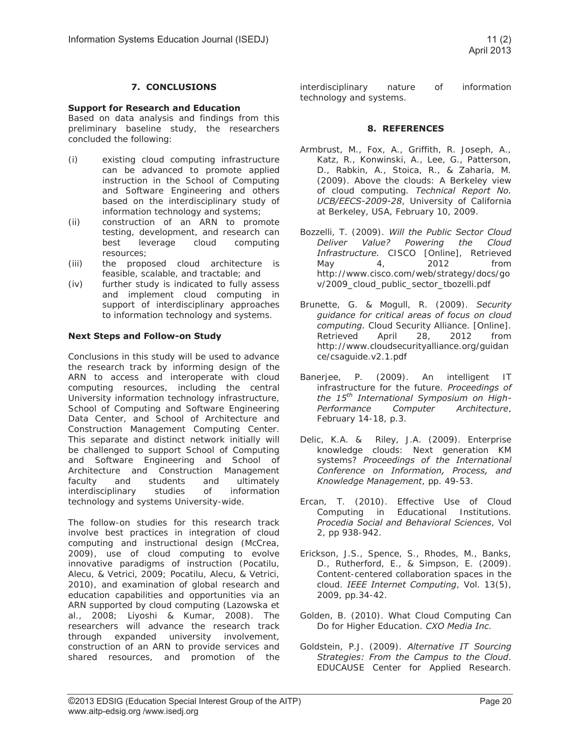# **7. CONCLUSIONS**

#### **Support for Research and Education**

Based on data analysis and findings from this preliminary baseline study, the researchers concluded the following:

- (i) existing cloud computing infrastructure can be advanced to promote applied instruction in the School of Computing and Software Engineering and others based on the interdisciplinary study of information technology and systems;
- (ii) construction of an ARN to promote testing, development, and research can best leverage cloud computing resources;
- (iii) the proposed cloud architecture is feasible, scalable, and tractable; and
- (iv) further study is indicated to fully assess and implement cloud computing in support of interdisciplinary approaches to information technology and systems.

#### **Next Steps and Follow-on Study**

Conclusions in this study will be used to advance the research track by informing design of the ARN to access and interoperate with cloud computing resources, including the central University information technology infrastructure, School of Computing and Software Engineering Data Center, and School of Architecture and Construction Management Computing Center. This separate and distinct network initially will be challenged to support School of Computing and Software Engineering and School of Architecture and Construction Management faculty and students and ultimately interdisciplinary studies of information technology and systems University-wide.

The follow-on studies for this research track involve best practices in integration of cloud computing and instructional design (McCrea, 2009), use of cloud computing to evolve innovative paradigms of instruction (Pocatilu, Alecu, & Vetrici, 2009; Pocatilu, Alecu, & Vetrici, 2010), and examination of global research and education capabilities and opportunities via an ARN supported by cloud computing (Lazowska et al., 2008; Liyoshi & Kumar, 2008). The researchers will advance the research track through expanded university involvement, construction of an ARN to provide services and shared resources, and promotion of the

interdisciplinary nature of information technology and systems.

#### **8. REFERENCES**

- Armbrust, M., Fox, A., Griffith, R. Joseph, A., Katz, R., Konwinski, A., Lee, G., Patterson, D., Rabkin, A., Stoica, R., & Zaharia, M. (2009). Above the clouds: A Berkeley view of cloud computing. *Technical Report No. UCB/EECS-2009-28*, University of California at Berkeley, USA, February 10, 2009.
- Bozzelli, T. (2009). *Will the Public Sector Cloud Deliver Value? Powering the Cloud Infrastructure.* CISCO [Online], Retrieved May 4, 2012 from http://www.cisco.com/web/strategy/docs/go v/2009\_cloud\_public\_sector\_tbozelli.pdf
- Brunette, G. & Mogull, R. (2009). *Security guidance for critical areas of focus on cloud computing.* Cloud Security Alliance. [Online]. Retrieved April 28, 2012 from http://www.cloudsecurityalliance.org/guidan ce/csaguide.v2.1.pdf
- Banerjee, P. (2009). An intelligent IT infrastructure for the future. *Proceedings of the 15th International Symposium on High-Performance Computer Architecture*, February 14-18, p.3.
- Delic, K.A. & Riley, J.A. (2009). Enterprise knowledge clouds: Next generation KM systems? *Proceedings of the International Conference on Information, Process, and Knowledge Management*, pp. 49-53.
- Ercan, T. (2010). Effective Use of Cloud Computing in Educational Institutions. *Procedia Social and Behavioral Sciences*, Vol 2, pp 938-942.
- Erickson, J.S., Spence, S., Rhodes, M., Banks, D., Rutherford, E., & Simpson, E. (2009). Content-centered collaboration spaces in the cloud. *IEEE Internet Computing*, Vol. 13(5), 2009, pp.34-42.
- Golden, B. (2010). What Cloud Computing Can Do for Higher Education. *CXO Media Inc*.
- Goldstein, P.J. (2009). *Alternative IT Sourcing Strategies: From the Campus to the Cloud*. EDUCAUSE Center for Applied Research.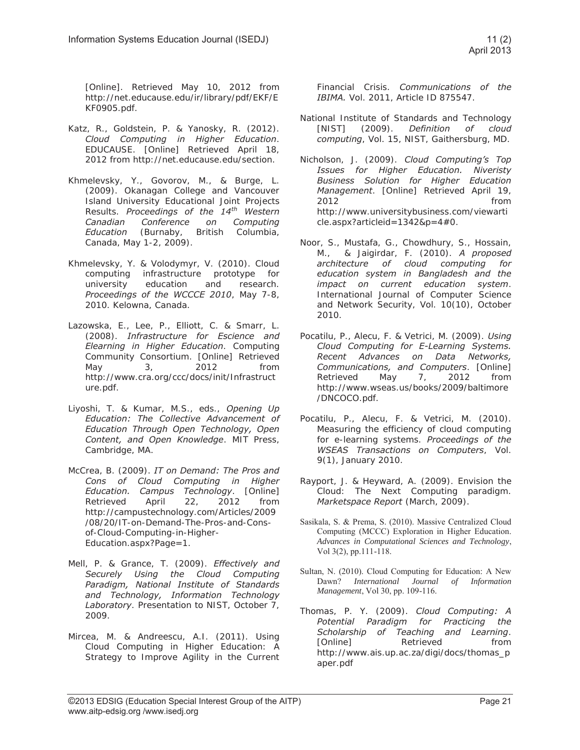[Online]. Retrieved May 10, 2012 from http://net.educause.edu/ir/library/pdf/EKF/E KF0905.pdf.

- Katz, R., Goldstein, P. & Yanosky, R. (2012). *Cloud Computing in Higher Education*. EDUCAUSE. [Online] Retrieved April 18, 2012 from http://net.educause.edu/section.
- Khmelevsky, Y., Govorov, M., & Burge, L. (2009). Okanagan College and Vancouver Island University Educational Joint Projects Results. *Proceedings of the 14th Western Canadian Conference on Computing Education* (Burnaby, British Columbia, Canada, May 1-2, 2009).
- Khmelevsky, Y. & Volodymyr, V. (2010). Cloud computing infrastructure prototype for university education and research. *Proceedings of the WCCCE 2010*, May 7-8, 2010. Kelowna, Canada.
- Lazowska, E., Lee, P., Elliott, C. & Smarr, L. (2008). *Infrastructure for Escience and Elearning in Higher Education*. Computing Community Consortium. [Online] Retrieved May 3, 2012 from http://www.cra.org/ccc/docs/init/Infrastruct ure.pdf.
- Liyoshi, T. & Kumar, M.S., eds., *Opening Up Education: The Collective Advancement of Education Through Open Technology, Open Content, and Open Knowledge*. MIT Press, Cambridge, MA.
- McCrea, B. (2009). *IT on Demand: The Pros and Cons of Cloud Computing in Higher Education. Campus Technology*. [Online] Retrieved April 22, 2012 from http://campustechnology.com/Articles/2009 /08/20/IT-on-Demand-The-Pros-and-Consof-Cloud-Computing-in-Higher-Education.aspx?Page=1.
- Mell, P. & Grance, T. (2009). *Effectively and Securely Using the Cloud Computing Paradigm, National Institute of Standards and Technology, Information Technology Laboratory*. Presentation to NIST, October 7, 2009.
- Mircea, M. & Andreescu, A.I. (2011). Using Cloud Computing in Higher Education: A Strategy to Improve Agility in the Current

Financial Crisis. *Communications of the IBIMA.* Vol. 2011, Article ID 875547.

- National Institute of Standards and Technology [NIST] (2009). *Definition of cloud computing*, Vol. 15, NIST, Gaithersburg, MD.
- Nicholson, J. (2009). *Cloud Computing's Top Issues for Higher Education. Niveristy Business Solution for Higher Education Management*. [Online] Retrieved April 19, 2012 **from** http://www.universitybusiness.com/viewarti cle.aspx?articleid=1342&p=4#0.
- Noor, S., Mustafa, G., Chowdhury, S., Hossain, M., & Jaigirdar, F. (2010). *A proposed architecture of cloud computing for education system in Bangladesh and the impact on current education system*. International Journal of Computer Science and Network Security, Vol. 10(10), October 2010.
- Pocatilu, P., Alecu, F. & Vetrici, M. (2009). *Using Cloud Computing for E-Learning Systems. Recent Advances on Data Networks, Communications, and Computers*. [Online] Retrieved May 7, 2012 from http://www.wseas.us/books/2009/baltimore /DNCOCO.pdf.
- Pocatilu, P., Alecu, F. & Vetrici, M. (2010). Measuring the efficiency of cloud computing for e-learning systems. *Proceedings of the WSEAS Transactions on Computers*, Vol. 9(1), January 2010.
- Rayport, J. & Heyward, A. (2009). Envision the Cloud: The Next Computing paradigm. *Marketspace Report* (March, 2009).
- Sasikala, S. & Prema, S. (2010). Massive Centralized Cloud Computing (MCCC) Exploration in Higher Education. *Advances in Computational Sciences and Technology*, Vol 3(2), pp.111-118.
- Sultan, N. (2010). Cloud Computing for Education: A New Dawn? *International Journal of Information Management*, Vol 30, pp. 109-116.
- Thomas, P. Y. (2009). *Cloud Computing: A Potential Paradigm for Practicing the Scholarship of Teaching and Learning*. [Online] Retrieved from http://www.ais.up.ac.za/digi/docs/thomas\_p aper.pdf